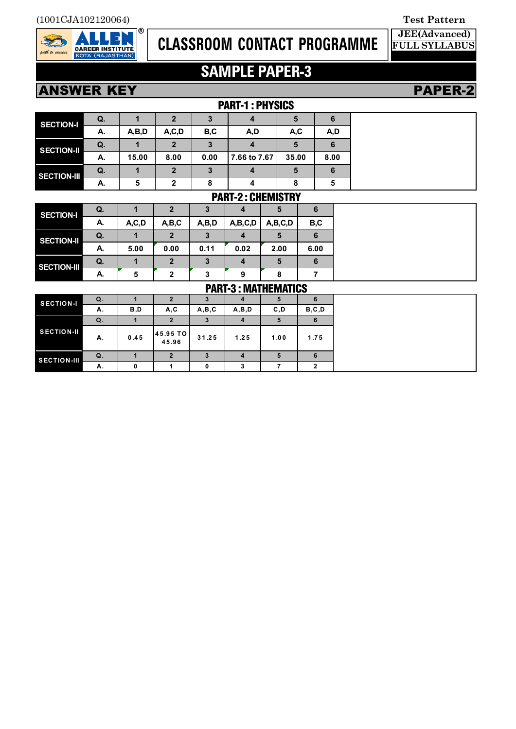

# **CLASSROOM CONTACT PROGRAMME**

## **JEE(Advanced) FULL SYLLABUS**

# **SAMPLE PAPER-3**

**PAPER-2** 

| <b>ANSWER KEY</b> |  |
|-------------------|--|
|                   |  |

|                    |                          | PAKI-1: PHYSIUS |              |      |              |       |      |  |
|--------------------|--------------------------|-----------------|--------------|------|--------------|-------|------|--|
| <b>SECTION-I</b>   | Q.                       |                 |              |      |              | Ð     | 6    |  |
|                    | А.                       | A,B,D           | A, C, D      | B,C  | A,D          | A,C   | A,D  |  |
| <b>SECTION-II</b>  | Q.                       |                 | 2            | 3    |              | 5     | 6    |  |
|                    | А.                       | 15.00           | 8.00         | 0.00 | 7.66 to 7.67 | 35.00 | 8.00 |  |
| <b>SECTION-III</b> | Q.                       |                 | $\mathbf{2}$ | 3    |              | 5     | 6    |  |
|                    | А.                       | 5               | $\mathbf{2}$ | 8    |              | 8     | 5    |  |
|                    | <b>DADT_Q. PUEMICTDV</b> |                 |              |      |              |       |      |  |

|                    |    |         |              |       |         | FANI-27 UNEIVII JI NI |      |
|--------------------|----|---------|--------------|-------|---------|-----------------------|------|
| <b>SECTION-I</b>   | Q. |         | 2            |       |         |                       | 6    |
|                    | А. | A, C, D | A,B,C        | A,B,D | A,B,C,D | A,B,C,D               | B,C  |
| <b>SECTION-II</b>  | Q. |         | $\mathbf{2}$ |       |         |                       | 6    |
|                    | А. | 5.00    | 0.00         | 0.11  | 0.02    | 2.00                  | 6.00 |
| <b>SECTION-III</b> | Q. |         | $\mathbf{2}$ |       |         |                       | 6    |
|                    | А. | 5       | 2            | 3     | 9       |                       |      |

| PART-3 : MATHEMATICS |  |
|----------------------|--|

| <b>PAKI-3 : IVIAI HEIVIAI IUJ</b> |    |      |                               |       |       |      |         |
|-----------------------------------|----|------|-------------------------------|-------|-------|------|---------|
| <b>SECTION-I</b>                  | Q. |      |                               |       |       | э    | 6       |
|                                   | Α. | B,D  | A, C                          | A,B,C | A,B,D | C, D | B, C, D |
|                                   | Q. |      |                               |       |       | Ð.   | 6       |
| <b>SECTION-II</b>                 | Α. | 0.45 | $ 45.95 \text{ TO} $<br>45.96 | 31.25 | 1.25  | 1.00 | 1.75    |
| <b>SECTION-III</b>                | Q. |      |                               |       |       | 5    | 6       |
|                                   | Α. | n    |                               | 0     |       |      | ≘       |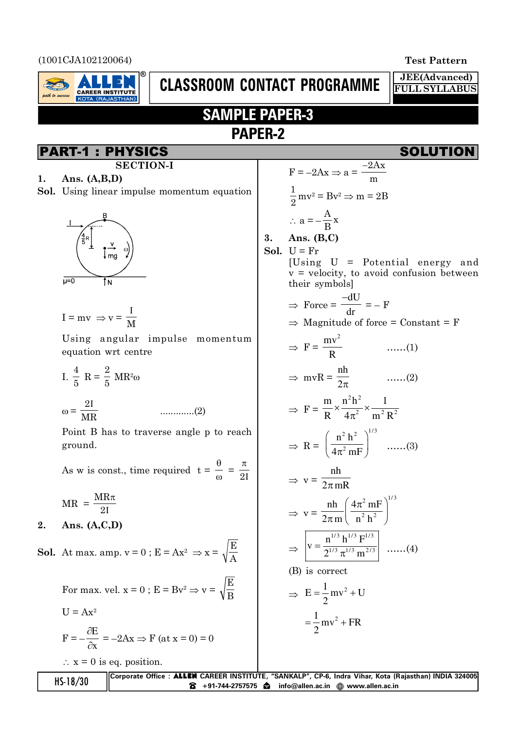(1001CJA102120064) **Test Pattern**



# **CLASSROOM CONTACT PROGRAMME**

**3. Ans. (B,C)**

**JEE(Advanced) FULL SYLLABUS**

## **SAMPLE PAPER-3 PAPER-2**

## PART-1 : PHYSICS SOLUTION

**1. Ans. (A,B,D) Sol.** Using linear impulse momentum equation

**SECTION-I**



$$
I=mv\ \Rightarrow v=\frac{I}{M}
$$

Using angular impulse momentum equation wrt centre

I. 
$$
\frac{4}{5}
$$
 R =  $\frac{2}{5}$  MR<sup>2</sup>ω

Z = 2, MR .............(2)

Point B has to traverse angle p to reach ground.

As w is const., time required  $t =$  $\theta$  $\frac{0}{\omega}$  =  $\pi$  $2I$ 

$$
MR = \frac{MR\pi}{2I}
$$

**2. Ans. (A,C,D)**

**Sol.** At max. amp.  $v = 0$ ;  $E = Ax^2 \Rightarrow x =$ E A

> For max. vel.  $x = 0$ ;  $E = Bv^2 \Rightarrow v =$ E B

$$
U = Ax2
$$
  

$$
F = -\frac{\partial E}{\partial x} = -2Ax \Rightarrow F (at x = 0) = 0
$$

 $\therefore$  x = 0 is eq. position.

$$
F = -2Ax \Rightarrow a = \frac{-2Ax}{m}
$$
  
\n $\frac{1}{2}mv^2 = Bv^2 \Rightarrow m = 2B$   
\n $\therefore a = -\frac{A}{B}x$   
\n**3. Ans. (B,C)**  
\n**Sol.** U = Fr  
\n[Using U = Potential energy and v = velocity, to avoid confusion between  
\ntheir symbols]  
\n $\Rightarrow$  Force =  $\frac{-dU}{dr} = -F$   
\n $\Rightarrow$  Magnitude of force = Constant = F  
\n $\Rightarrow F = \frac{mv^2}{R}$  ......(1)  
\n $\Rightarrow mvR = \frac{nh}{2\pi}$  ......(2)  
\n $\Rightarrow F = \frac{m}{R} \times \frac{n^2h^2}{4\pi^2} \times \frac{1}{m^2R^2}$   
\n $\Rightarrow R = \left(\frac{n^2h^2}{4\pi^2mF}\right)^{1/3}$  ......(3)  
\n $\Rightarrow v = \frac{nh}{2\pi mR}$   
\n $\Rightarrow v = \frac{nh}{2\pi m\left(\frac{4\pi^2mF}{n^2h}\right)^{1/3}}$   
\n $\Rightarrow \boxed{v = \frac{n^{1/3}h^{1/3}F^{1/3}}{2^{1/3}m^{2/3}}}$  ......(4)  
\n(B) is correct  
\n $\Rightarrow E = \frac{1}{2}mv^2 + UR$ 

|            | Corporate Office: <b>ALLEN</b> CAREER INSTITUTE, "SANKALP", CP-6, Indra Vihar, Kota (Rajasthan) INDIA 324005 |
|------------|--------------------------------------------------------------------------------------------------------------|
| $HS-18/30$ | $\bullet$ +91-744-2757575 $\bullet$ info@allen.ac.in $\circledR$ www.allen.ac.in                             |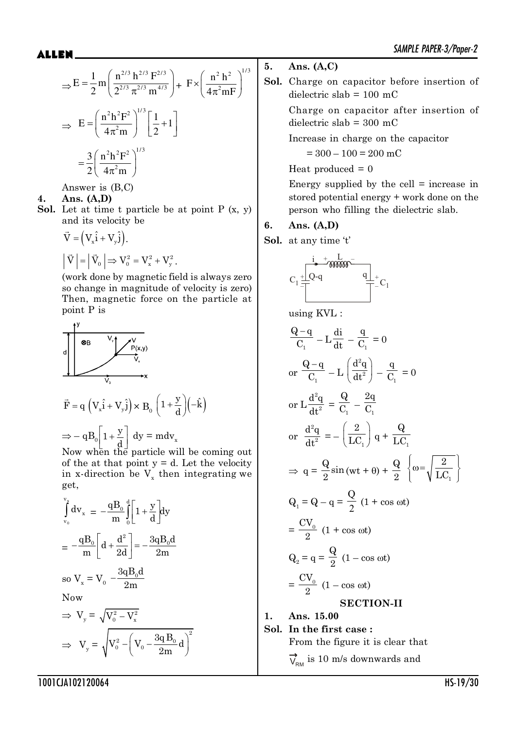$$
\Rightarrow E = \frac{1}{2} m \left( \frac{n^{2/3} h^{2/3} F^{2/3}}{2^{2/3} \pi^{2/3} m^{4/3}} \right) + F \times \left( \frac{n^2 h^2}{4 \pi^2 m F} \right)^{1/3}
$$

$$
\Rightarrow E = \left( \frac{n^2 h^2 F^2}{4 \pi^2 m} \right)^{1/3} \left[ \frac{1}{2} + 1 \right]
$$

$$
= \frac{3}{2} \left( \frac{n^2 h^2 F^2}{4 \pi^2 m} \right)^{1/3}
$$

Answer is (B,C)

### **4. Ans. (A,D)**

**Sol.** Let at time t particle be at point P (x, y) and its velocity be

$$
\vec{V} = (V_x \hat{i} + V_y \hat{j}).
$$
  
\n
$$
|\vec{V}| = |\vec{V}_0| \Rightarrow V_0^2 = V_x^2 + V_y^2.
$$

(work done by magnetic field is always zero so change in magnitude of velocity is zero) Then, magnetic force on the particle at point P is

$$
\overrightarrow{F} = q \left( V_x \hat{i} + V_y \hat{j} \right) \times B_0 \left( 1 + \frac{y}{d} \right) \left( -\hat{k} \right)
$$
\n
$$
\Rightarrow -q B_0 \left[ 1 + \frac{y}{d} \right] dy = m dv_x
$$

Now when the particle will be coming out of the at that point  $y = d$ . Let the velocity in x-direction be  $V_x$  then integrating we get,

2

$$
\int_{v_0}^{v_g} dv_x = -\frac{qB_0}{m} \int_{0}^{d} \left[1 + \frac{y}{d}\right] dy
$$

$$
= -\frac{qB_0}{m} \left[d + \frac{d^2}{2d}\right] = -\frac{3qB_0d}{2m}
$$

so 
$$
V_x = V_0 - \frac{\partial \Phi_0}{\partial m}
$$
  
Now

 $\Rightarrow V_{y} = \sqrt{V_{0}^{2} - V_{x}^{2}}$  $\Rightarrow V_y = \sqrt{V_0^2 - \left(V_0 - \frac{3q B_0}{2m}d\right)^2}$ 2m

## **5. Ans. (A,C)**

**Sol.** Charge on capacitor before insertion of dielectric slab  $= 100$  mC

> Charge on capacitor after insertion of dielectric slab = 300 mC

Increase in charge on the capacitor

 $= 300 - 100 = 200$  mC

Heat produced  $= 0$ 

Energy supplied by the cell  $=$  increase in stored potential energy + work done on the person who filling the dielectric slab.

## **6. Ans. (A,D)**

**Sol.** at any time 't'



using KVL :

$$
\frac{Q-q}{C_1} - L\frac{di}{dt} - \frac{q}{C_1} = 0
$$
  
or 
$$
\frac{Q-q}{C_1} - L\left(\frac{d^2q}{dt^2}\right) - \frac{q}{C_1} = 0
$$
  
or 
$$
L\frac{d^2q}{dt^2} = \frac{Q}{C_1} - \frac{2q}{C_1}
$$
  
or 
$$
\frac{d^2q}{dt^2} = -\left(\frac{2}{LC_1}\right)q + \frac{Q}{LC_1}
$$
  

$$
\Rightarrow q = \frac{Q}{2}\sin\left(\omega t + \theta\right) + \frac{Q}{2}\left\{\omega = \sqrt{\frac{2}{LC_1}}\right\}
$$
  

$$
Q_1 = Q - q = \frac{Q}{2}(1 + \cos \omega t)
$$
  

$$
= \frac{CV_0}{2}(1 + \cos \omega t)
$$
  

$$
= \frac{CV_0}{2}(1 - \cos \omega t)
$$
  

$$
= \frac{CV_0}{2}(1 - \cos \omega t)
$$
  

$$
= \frac{CV_0}{2}(1 - \cos \omega t)
$$
  

$$
= \frac{CV_0}{2}(1 - \cos \omega t)
$$

**Sol. In the first case :**

**1. Ans. 15.00**

From the figure it is clear that  $\overrightarrow{\mathrm{V}}_{\!\scriptscriptstyle\mathrm{RMI}}$  is 10 m/s downwards and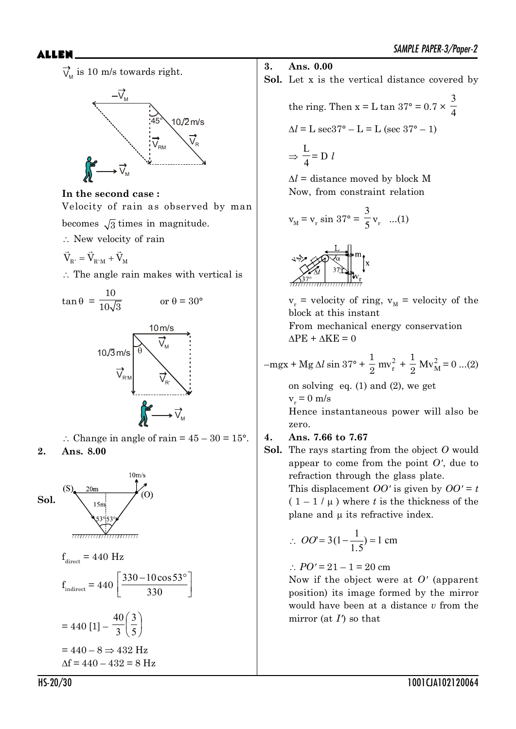$\overline{V}_{\!{\sf M}}$  is 10 m/s towards right.



## **In the second case :**

Velocity of rain as observed by man becomes  $\sqrt{3}$  times in magnitude.

 $\therefore$  New velocity of rain

$$
\vec{V}_{\rm R'}=\vec{V}_{\rm R'M}+\vec{V}_{\rm M}
$$

 $\therefore$  The angle rain makes with vertical is



: Change in angle of rain =  $45 - 30 = 15^{\circ}$ . **2. Ans. 8.00**



- **3. Ans. 0.00**
- **Sol.** Let x is the vertical distance covered by

the ring. Then  $x = L \tan 37^\circ = 0.7 \times \frac{1}{4}$ 3  $\Delta l = L \sec 37^{\circ} - L = L (\sec 37^{\circ} - 1)$ 

$$
\Rightarrow \frac{L}{4} = D l
$$

 $\Delta l$  = distance moved by block M Now, from constraint relation

$$
v_M = v_r \sin 37^\circ = \frac{3}{5} v_r
$$
 ...(1)



 $v_r$  = velocity of ring,  $v_M$  = velocity of the block at this instant

From mechanical energy conservation  $\Delta$ PE +  $\Delta$ KE = 0

$$
-mgx + Mg \Delta l \sin 37^{\circ} + \frac{1}{2} mv_r^2 + \frac{1}{2} Mv_M^2 = 0 ... (2)
$$

on solving eq.  $(1)$  and  $(2)$ , we get  $v_r = 0$  m/s Hence instantaneous power will also be zero.

## **4. Ans. 7.66 to 7.67**

**Sol.** The rays starting from the object *O* would appear to come from the point *O'*, due to refraction through the glass plate. This displacement *OO'* is given by  $OO' = t$  $(1 - 1/\mu)$  where *t* is the thickness of the plane and  $\mu$  its refractive index.

$$
\therefore \quad OO' = 3(1 - \frac{1}{1.5}) = 1 \text{ cm}
$$

$$
\therefore PO' = 21 - 1 = 20
$$
 cm

Now if the object were at *O'* (apparent position) its image formed by the mirror would have been at a distance *v* from the mirror (at *I'*) so that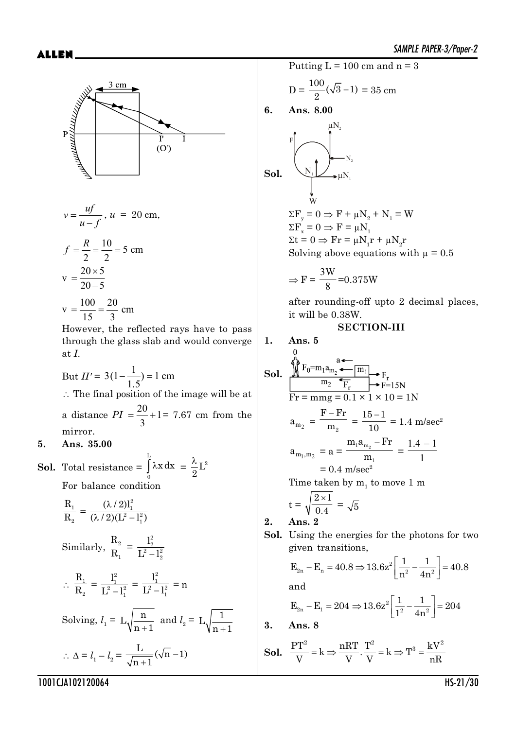

$$
v = \frac{uf}{u - f}, u = 20 \text{ cm},
$$
  

$$
f = \frac{R}{2} = \frac{10}{2} = 5 \text{ cm}
$$

$$
y = \frac{20 \times 5}{20 - 5}
$$
  
100 - 20

 $v = \frac{100}{100}$ 15 20 3 cm

However, the reflected rays have to pass through the glass slab and would converge at *I*.

But  $II' = 3(1 - \frac{1}{1})$ 1 5  $(1-\frac{1}{1\epsilon})=1$ .  $(-\frac{1}{15}) = 1$  cm  $\therefore$  The final position of the image will be at a distance  $PI = \frac{20}{1} +$ 3  $1= 7.67$  cm from the mirror.

## **5. Ans. 35.00**

**Sol.** Total resistance = 
$$
\int_{0}^{L} \lambda x \, dx = \frac{\lambda}{2} L^2
$$
For balance condition

$$
\frac{R_1}{R_2} = \frac{(\lambda/2)l_1^2}{(\lambda/2)(L^2 - l_1^2)}
$$
  
\nSimilarly, 
$$
\frac{R_2}{R_1} = \frac{l_2^2}{L^2 - l_2^2}
$$
  
\n
$$
\therefore \frac{R_1}{R_2} = \frac{l_1^2}{L^2 - l_1^2} = \frac{l_1^2}{L^2 - l_1^2} = n
$$
  
\nSolving,  $l_1 = L\sqrt{\frac{n}{n+1}}$  and  $l_2 = L\sqrt{\frac{1}{n+1}}$   
\n
$$
\therefore \Delta = l_1 - l_2 = \frac{L}{\sqrt{n+1}}(\sqrt{n} - 1)
$$

Putting  $L = 100$  cm and  $n = 3$ 

$$
D = \frac{100}{2}(\sqrt{3} - 1) = 35
$$
 cm

**6. Ans. 8.00**

$$
\textbf{Sol.} \qquad \qquad \overbrace{\bigcup_{\substack{N_1 \\ W}}^{\mu N_2} \xrightarrow{\mu N_1}}^{\mu N_2}
$$

 $\Sigma F_y = 0 \Rightarrow F + \mu N_2 + N_1 = W$  $\Sigma F_x = 0 \Rightarrow F = \mu N_1$  $\Sigma t = 0 \Rightarrow Fr = \mu N_1 r + \mu N_2 r$ Solving above equations with  $\mu = 0.5$ 

$$
\Rightarrow F = \frac{3W}{8} = 0.375W
$$

after rounding-off upto 2 decimal places, it will be 0.38W.

## **SECTION-III**

1. Ans. 5  
\n801. 
$$
\sqrt{\frac{1}{2}F_0 = m_1 a_{m_2}} \leftarrow \frac{1}{2} \left( \frac{1}{2} \right)
$$
\n
$$
F_T = m_1 g = 0.1 \times 1 \times 10 = 1 \text{N}
$$
\n
$$
a_{m_2} = \frac{F - Fr}{m_2} = \frac{15 - 1}{10} = 1.4 \text{ m/sec}^2
$$
\n
$$
a_{m_1, m_2} = a = \frac{m_1 a_{m_2} - Fr}{m_1} = \frac{1.4 - 1}{1}
$$
\n
$$
= 0.4 \text{ m/sec}^2
$$
\n
$$
Time taken by m_1 to move 1 m
$$
\n
$$
\sqrt{2 \times 1}
$$

$$
t = \sqrt{\frac{2 \times 1}{0.4}} = \sqrt{5}
$$

**2. Ans. 2**

**Sol.** Using the energies for the photons for two given transitions,

$$
E_{2n} - E_n = 40.8 \Rightarrow 13.6z^2 \left[ \frac{1}{n^2} - \frac{1}{4n^2} \right] = 40.8
$$
  
and  

$$
E_{2n} - E_1 = 204 \Rightarrow 13.6z^2 \left[ \frac{1}{1^2} - \frac{1}{4n^2} \right] = 204
$$

**3. Ans. 8**

**Sol.**  $\frac{PT^2}{Y} = k \Rightarrow \frac{nRT}{Y} \cdot \frac{T^2}{Y} = k \Rightarrow T^3 = \frac{kV^2}{R}$  $V$  V V  $N$  nR  $= k \Rightarrow \frac{n \pi}{r} \cdot \frac{1}{r} = k \Rightarrow T^3 = -$ 

1001CJA102120064 HS-21/30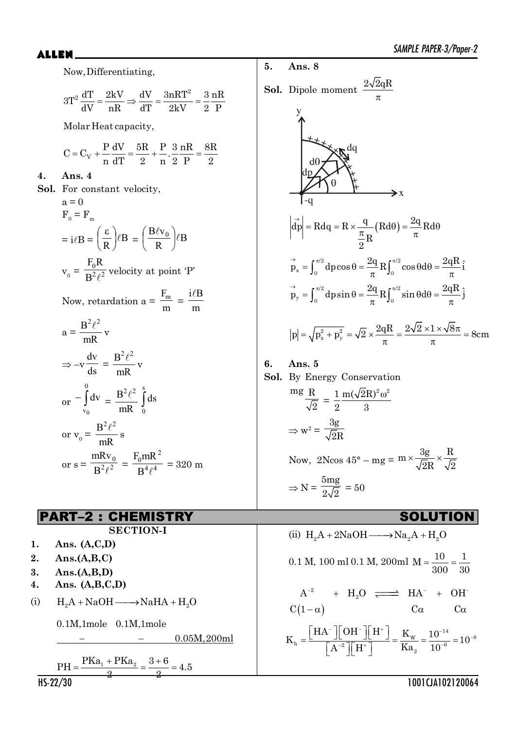Now,Differentiating,

$$
3T^{2} \frac{dT}{dV} = \frac{2kV}{nR} \Rightarrow \frac{dV}{dT} = \frac{3nRT^{2}}{2kV} = \frac{3}{2} \frac{nR}{P}
$$

**5. Ans. 8**

**Sol.** Dipole moment

Molar Heat capacity,

$$
C=C_V+\frac{P}{n}\frac{dV}{dT}=\frac{5R}{2}+\frac{P}{n},\frac{3}{2}\frac{nR}{P}=\frac{8R}{2}
$$

**4. Ans. 4**

**Sol.** For constant velocity,  $a = 0$  $F_0 = F_m$  $= i \ell B = \left(\frac{c}{R}\right) \ell B$ ¹  $\left(\frac{\mathfrak{s}}{n}\right)$  $\setminus$  $\left(\frac{\varepsilon}{R}\right)$  $\ell B = \left(\frac{B\ell v_0}{R}\right)$  $\ell B$  $\frac{\rm B\ell v_0}{\rm D}\bigg|\ell$ ¹  $\left(\frac{B\ell v_0}{D}\right)$  $\setminus$ §  $v_0 = \frac{F_0 R}{R^2 \rho^2}$ B  $F_0R$  $\ell$ velocity at point 'P' Now, retardation  $a = \frac{-m}{m}$  $\frac{F_m}{m} = \frac{i\ell F}{m}$  $i\ell B$  $a =$ mR  $\frac{B^2\ell^2}{D}$  v  $\Rightarrow -v \frac{d}{ds}$ dv = mR  $\frac{B^2\ell^2}{D}$  v  $_{\text{or}}$  –  $\int$  $\boldsymbol{0}$  $v_0$  $\frac{dv}{dx}$ mR  $\frac{B^2\ell^2}{\epsilon}$ s 0 ds or  $v_0 =$ mR  $\frac{B^2\ell^2}{B}$  s or  $s = \frac{\text{max}_{0}}{R^2 \ell^2}$ B mRv  $\frac{6}{\ell^2} = \frac{6}{B^4 \ell^4}$ 2  $\overline{0}$ B  $F_0$ mR  $\ell$  $= 320 \text{ m}$ 

## PART–2 : CHEMISTRY SOLUTION

**SECTION-I**

- **1. Ans. (A,C,D)**
- **2. Ans.(A,B,C)**
- **3. Ans.(A,B,D)**
- **4. Ans. (A,B,C,D)**
- (i)  $H_2A + NaOH \longrightarrow NaHA + H_2O$

0.1M,1mole 0.1M,1mole

0.05M,200ml

$$
PH = \frac{PKa_1 + PKa_2}{2} = \frac{3+6}{2} = 4.5
$$

**Ans. 8**  
\n**1.** Dipole moment 
$$
\frac{2\sqrt{2}qR}{\pi}
$$
  
\n**24**  
\n**4**  
\n**4**  
\n**4**  
\n**4**  
\n**4**  
\n**4**  
\n**4**  
\n**4**  
\n**4**  
\n**4**  
\n**4**  
\n**4**  
\n**4**  
\n**4**  
\n**4**  
\n**4**  
\n**4**  
\n**4**  
\n**4**  
\n**4**  
\n**4**  
\n**4**  
\n**4**  
\n**4**  
\n**4**  
\n**4**  
\n**4**  
\n**4**  
\n**4**  
\n**4**  
\n**4**  
\n**4**  
\n**4**  
\n**4**  
\n**4**  
\n**4**  
\n**4**  
\n**4**  
\n**4**  
\n**4**  
\n**4**  
\n**4**  
\n**4**  
\n**4**  
\n**4**  
\n**4**  
\n**4**  
\n**4**  
\n**4**  
\n**4**  
\n**4**  
\n**4**  
\n**4**  
\n**4**  
\n**4**  
\n**4**  
\n**4**  
\n**4**  
\n**4**  
\n**4**  
\n**4**  
\n**4**  
\n**4**  
\n**4**  
\n**4**  
\n**4**  
\n**4**  
\n**4**  
\n**4**  
\n**4**  
\n**4**  
\n**4**  
\n**4**  
\n**4**  
\n**4**  
\n**4**  
\n**4**  
\n**4**  
\n**4**  
\n

**6. Ans. 5 Sol.** By Energy Conservation mg R  $\frac{\text{R}}{\text{2}} = \frac{1}{2} \frac{\text{m}(\sqrt{2R})^2 \omega^2}{3}$ 2 3  $\Rightarrow$  w<sup>2</sup> = 3g 2R Now, 2Ncos 45° – mg = m  $\times \frac{3g}{\sqrt{2}} \times \frac{R}{\sqrt{6}}$ 2R  $\sqrt{2}$  $\Rightarrow$  N = 5mg  $\frac{6}{2\sqrt{2}}$  = 50

(ii) H<sub>2</sub>A + 2NaOH 
$$
\longrightarrow
$$
 Na<sub>2</sub>A + H<sub>2</sub>O  
\n0.1 M, 100 m10.1 M, 200m1 M =  $\frac{10}{300} = \frac{1}{30}$   
\nA<sup>-2</sup> + H<sub>2</sub>O  $\Longrightarrow$  HA<sup>-</sup> + OH<sup>-</sup>  
\nC(1- $\alpha$ ) C $\alpha$  C $\alpha$   
\nK<sub>h</sub> =  $\frac{\begin{bmatrix} H A^{-} \end{bmatrix} \begin{bmatrix} OH^{-} \end{bmatrix} \begin{bmatrix} H^{+} \end{bmatrix}}{\begin{bmatrix} A^{-2} \end{bmatrix} \begin{bmatrix} H^{+} \end{bmatrix}} = \frac{K_{w}}{Ka_{2}} = \frac{10^{-14}}{10^{-6}} = 10^{-8}$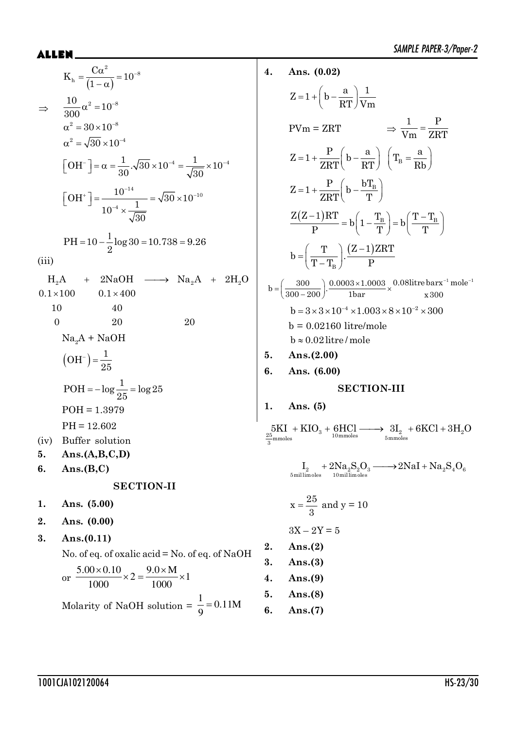$$
K_h = \frac{C\alpha^2}{(1-\alpha)} = 10^{-8}
$$
  
\n⇒  $\frac{10}{300}\alpha^2 = 10^{-8}$   
\n $\alpha^2 = 30 \times 10^{-8}$   
\n $\alpha^2 = \sqrt{30} \times 10^{-4}$   
\n
$$
[OH^-] = \alpha = \frac{1}{30} \cdot \sqrt{30} \times 10^{-4} = \frac{1}{\sqrt{30}} \times 10^{-4}
$$
  
\n
$$
[OH^+] = \frac{10^{-14}}{10^{-4} \times \frac{1}{\sqrt{30}}}
$$
  
\nPH = 10 -  $\frac{1}{2}$  log 30 = 10.738 = 9.26  
\n(iii)  
\nH<sub>2</sub>A + 2NaOH → Na<sub>2</sub>A + 2H<sub>2</sub>O  
\n0.1 × 100 0.1 × 400  
\n10 40  
\n0 20 20  
\nNa<sub>2</sub>A + NaOH  
\n
$$
(OH^-) = \frac{1}{25}
$$
  
\nPOH = -log $\frac{1}{25}$  = log 25  
\nPOH = 1.3979  
\nPH = 12.602  
\n(iv) Buffer solution  
\n5. Ans.(A,B,C,D)  
\n6. Ans.(B,C)  
\nSECTION-II  
\n1. Ans. (5.00)  
\n2. Ans. (0.00)  
\n2. Ans. (0.00)

$$
3. \quad \text{Ans.} (0.11)
$$

No. of eq. of oxalic acid = No. of eq. of NaOH

or 
$$
\frac{5.00 \times 0.10}{1000} \times 2 = \frac{9.0 \times M}{1000} \times 1
$$
  
Molarity of NaOH solution =  $\frac{1}{9}$  = 0.11M

4. Ans. (0.02)  
\n
$$
Z=1+\left(b-\frac{a}{RT}\right)\frac{1}{Vm}
$$
\n
$$
PVm = ZRT \qquad \Rightarrow \frac{1}{Vm} = \frac{P}{ZRT}
$$
\n
$$
Z=1+\frac{P}{ZRT}\left(b-\frac{a}{RT}\right)\left(T_B=\frac{a}{Rb}\right)
$$
\n
$$
Z=1+\frac{P}{ZRT}\left(b-\frac{bT_B}{T}\right)
$$
\n
$$
\frac{Z(Z-1)RT}{P} = b\left(1-\frac{T_B}{T}\right) = b\left(\frac{T-T_B}{T}\right)
$$
\n
$$
b=\left(\frac{T}{T-T_B}\right)\cdot\frac{(Z-1)ZRT}{P}
$$
\n
$$
b=\left(\frac{300}{300-200}\right)\cdot\frac{0.0003 \times 1.0003}{1 \text{ bar}} \times \frac{0.08 \text{litre bar}x^{-1} \text{mole}^{-1}}{x 300}
$$
\n
$$
b = 3 \times 3 \times 10^{-4} \times 1.003 \times 8 \times 10^{-2} \times 300
$$
\n
$$
b = 0.02160 \text{ litre/mole}
$$
\n5. Ans. (2.00)  
\n6. Ans. (6.00)  
\nSECTION-III  
\n1. Ans. (5)  
\n
$$
\frac{5 \text{KI}}{3} + \text{KIO}_3 + \frac{6 \text{HCl}}{10 \text{mmoles}} \longrightarrow \frac{3I_2}{5} + 6 \text{KCl} + 3H_2O
$$

$$
I_{_{2}}+2Na_{_{2}}S_{_{2}}O_{_{3}}\longrightarrow2NaI+Na_{_{2}}S_{_{4}}O_{_{6}}\\z_{\text{millimoles}}
$$

$$
x = \frac{25}{3} \text{ and } y = 10
$$

$$
3X - 2Y = 5
$$
  
**Ans.(2)**  

$$
Area = 2x + 12
$$

3. Ans. $(3)$ Ans. $(9)$  $\overline{4}$ .

 $2.$ 

Ans. $(8)$ 5.

Ans. $(7)$  $6.$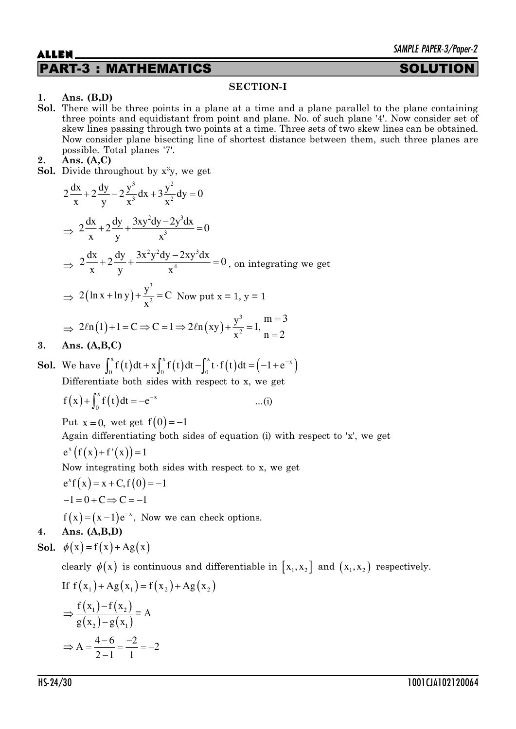## PART-3 : MATHEMATICS SOLUTION

## **SECTION-I**

## **1. Ans. (B,D)**

**Sol.** There will be three points in a plane at a time and a plane parallel to the plane containing three points and equidistant from point and plane. No. of such plane '4'. Now consider set of skew lines passing through two points at a time. Three sets of two skew lines can be obtained. Now consider plane bisecting line of shortest distance between them, such three planes are possible. Total planes '7'.

## **2. Ans. (A,C)**

**Sol.** Divide throughout by  $x^3y$ , we get

$$
2\frac{dx}{x} + 2\frac{dy}{y} - 2\frac{y^3}{x^3}dx + 3\frac{y^2}{x^2}dy = 0
$$
  
\n
$$
\Rightarrow 2\frac{dx}{x} + 2\frac{dy}{y} + \frac{3xy^2dy - 2y^3dx}{x^3} = 0
$$
  
\n
$$
\Rightarrow 2\frac{dx}{x} + 2\frac{dy}{y} + \frac{3x^2y^2dy - 2xy^3dx}{x^4} = 0, \text{ on integrating we get}
$$
  
\n
$$
\Rightarrow 2(\ln x + \ln y) + \frac{y^3}{x^2} = C \text{ Now put } x = 1, y = 1
$$

$$
\Rightarrow 2\ell n(1) + 1 = C \Rightarrow C = 1 \Rightarrow 2\ell n(xy) + \frac{y^3}{x^2} = 1, \frac{m-3}{n-2}
$$

**3. Ans. (A,B,C)**

**Sol.** We have 
$$
\int_0^x f(t) dt + x \int_0^x f(t) dt - \int_0^x t \cdot f(t) dt = (-1 + e^{-x})
$$
 Differentiate both sides with respect to x, we get

$$
f(x) + \int_0^x f(t) dt = -e^{-x}
$$
 ...(i)

Put  $x = 0$ , wet get  $f(0) = -1$ Again differentiating both sides of equation (i) with respect to 'x', we get

$$
e^x\big(f(x)+f'(x)\big)=1
$$

Now integrating both sides with respect to x, we get

$$
e^{x} f(x) = x + C, f(0) = -1
$$

$$
-1 = 0 + C \Rightarrow C = -1
$$

 $f(x) = (x-1)e^{-x}$ , Now we can check options.

## **4. Ans. (A,B,D)**

**Sol.** 
$$
\phi(x) = f(x) + Ag(x)
$$

clearly  $\phi(x)$  is continuous and differentiable in  $[x_1, x_2]$  and  $(x_1, x_2)$  respectively.

If 
$$
f(x_1) + Ag(x_1) = f(x_2) + Ag(x_2)
$$
  
\n $\Rightarrow \frac{f(x_1) - f(x_2)}{g(x_2) - g(x_1)} = A$   
\n $\Rightarrow A = \frac{4 - 6}{2 - 1} = \frac{-2}{1} = -2$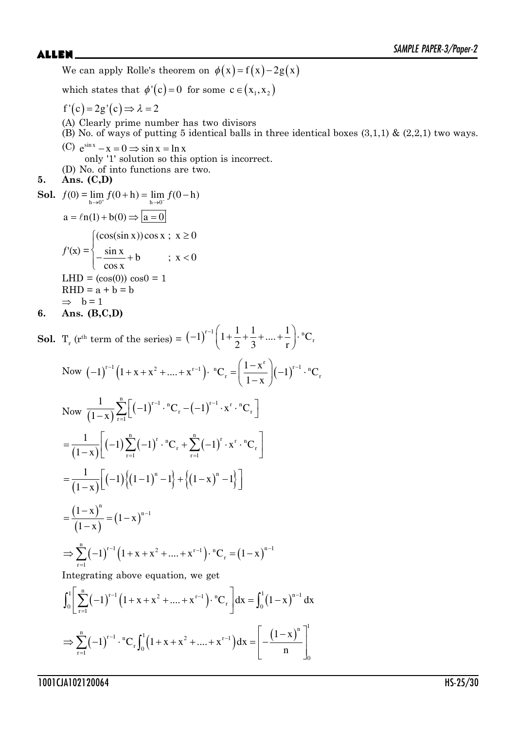We can apply Rolle's theorem on  $\phi(x) = f(x) - 2g(x)$ 

which states that  $\phi'(c) = 0$  for some  $c \in (x_1, x_2)$ 

- $f'(c) = 2g'(c) \Rightarrow \lambda = 2$
- (A) Clearly prime number has two divisors
- $(B)$  No. of ways of putting 5 identical balls in three identical boxes  $(3,1,1)$  &  $(2,2,1)$  two ways.
- (C)  $e^{\sin x} x = 0 \Rightarrow \sin x = \ln x$

only '1' solution so this option is incorrect.

(D) No. of into functions are two.

## **5. Ans. (C,D)**

**Sol.** 
$$
f(0) = \lim_{h \to 0^+} f(0+h) = \lim_{h \to 0^-} f(0-h)
$$
  
\n $a = \ln(1) + b(0) \Rightarrow \boxed{a=0}$   
\n $f'(x) = \begin{cases} (\cos(\sin x)) \cos x ; & x \ge 0 \\ -\frac{\sin x}{\cos x} + b & ; x < 0 \end{cases}$   
\nLHD =  $(\cos(0)) \cos 0 = 1$   
\nRHD =  $a + b = b$   
\n $\Rightarrow b = 1$ 

$$
6. \quad \text{Ans. (B,C,D)}
$$

**Sol.**  $T_r$  (r<sup>th</sup> term of the series) =  $(-1)^{r-1} \left(1 + \frac{1}{2} + \frac{1}{3} + .... + \frac{1}{r}\right) \cdot {}^nC_r$  $2 \quad 3 \quad r$  $(-1)^{r-1}\left(1+\frac{1}{2}+\frac{1}{3}+\ldots+\frac{1}{r}\right)$ . "

Now 
$$
(-1)^{r-1} (1 + x + x^2 + .... + x^{r-1}) \cdot {}^nC_r = \left(\frac{1-x^r}{1-x}\right) (-1)^{r-1} \cdot {}^nC_r
$$
  
\nNow  $\frac{1}{(1-x)} \sum_{r=1}^n \Big[ (-1)^{r-1} \cdot {}^nC_r - (-1)^{r-1} \cdot x^r \cdot {}^nC_r \Big]$   
\n $= \frac{1}{(1-x)} \Big[ (-1) \sum_{r=1}^n (-1)^r \cdot {}^nC_r + \sum_{r=1}^n (-1)^r \cdot x^r \cdot {}^nC_r \Big]$   
\n $= \frac{1}{(1-x)} \Big[ (-1) \{ (1-1)^n - 1 \} + \{ (1-x)^n - 1 \} \Big]$   
\n $= \frac{(1-x)^n}{(1-x)} = (1-x)^{n-1}$   
\n $\Rightarrow \sum_{r=1}^n (-1)^{r-1} (1 + x + x^2 + .... + x^{r-1}) \cdot {}^nC_r = (1-x)^{n-1}$   
\nIntegrating above equation, we get  
\n
$$
\int_0^1 \Big[ \sum_{r=1}^n (-1)^{r-1} (1 + x + x^2 + .... + x^{r-1}) \cdot {}^nC_r \Big] dx = \int_0^1 (1-x)^{n-1} dx
$$

$$
\Rightarrow \sum_{r=1}^{n} (-1)^{r-1} \cdot {^{n}C_r} \int_{0}^{1} \left(1 + x + x^2 + \dots + x^{r-1}\right) dx = \left[-\frac{(1-x)^{n}}{n}\right]_{0}^{1}
$$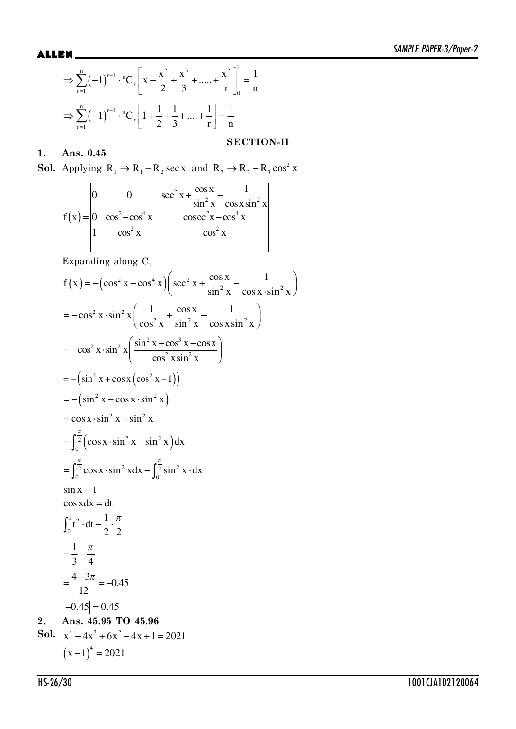$$
\Rightarrow \sum_{r=1}^{n} (-1)^{r-1} \cdot {}^{n}C_{r} \left[ x + \frac{x^{2}}{2} + \frac{x^{3}}{3} + \dots + \frac{x^{2}}{r} \right]_{0}^{1} = \frac{1}{n}
$$

$$
\Rightarrow \sum_{r=1}^{n} (-1)^{r-1} \cdot {}^{n}C_{r} \left[ 1 + \frac{1}{2} + \frac{1}{3} + \dots + \frac{1}{r} \right] = \frac{1}{n}
$$

## **1. Ans. 0.45**

**Sol.** Applying  $R_1 \rightarrow R_1 - R_2 \sec x$  and  $R_2 \rightarrow R_2 - R_3 \cos^2 x$ 

**SECTION-II**

$$
f(x) = \begin{vmatrix} 0 & 0 & \sec^2 x + \frac{\cos x}{\sin^2 x} - \frac{1}{\cos x \sin^2 x} \\ 0 & \cos^2 - \cos^4 x & \csc^2 x - \cos^4 x \\ 1 & \cos^2 x & \cos^2 x \end{vmatrix}
$$

Expanding along  $\mathrm{C}_1$ 

$$
f(x) = -(\cos^2 x - \cos^4 x)(\sec^2 x + \frac{\cos x}{\sin^2 x} - \frac{1}{\cos x \cdot \sin^2 x})
$$
  
\n
$$
= -\cos^2 x \cdot \sin^2 x (\frac{1}{\cos^2 x} + \frac{\cos x}{\sin^2 x} - \frac{1}{\cos x \cdot \sin^2 x})
$$
  
\n
$$
= -\cos^2 x \cdot \sin^2 x (\frac{\sin^2 x + \cos^3 x - \cos x}{\cos^2 x \sin^2 x})
$$
  
\n
$$
= -(\sin^2 x + \cos x (\cos^2 x - 1))
$$
  
\n
$$
= -(\sin^2 x - \cos x \cdot \sin^2 x)
$$
  
\n
$$
= \cos x \cdot \sin^2 x - \sin^2 x
$$
  
\n
$$
= \int_0^{\frac{\pi}{2}} (\cos x \cdot \sin^2 x - \sin^2 x) dx
$$
  
\n
$$
= \int_0^{\frac{\pi}{2}} \cos x \cdot \sin^2 x dx - \int_0^{\frac{\pi}{2}} \sin^2 x \cdot dx
$$
  
\n
$$
\sin x = t
$$
  
\n
$$
\cos x dx = dt
$$
  
\n
$$
\int_0^1 t^2 \cdot dt - \frac{1}{2} \cdot \frac{\pi}{2}
$$
  
\n
$$
= \frac{1}{3} - \frac{\pi}{4}
$$
  
\n
$$
= \frac{4 - 3\pi}{12} = -0.45
$$
  
\n2. Ans. 45.95 TO 45.96  
\nSoI.  $x^4 - 4x^3 + 6x^2 - 4x + 1 = 2021$   
\n
$$
(x - 1)^4 = 2021
$$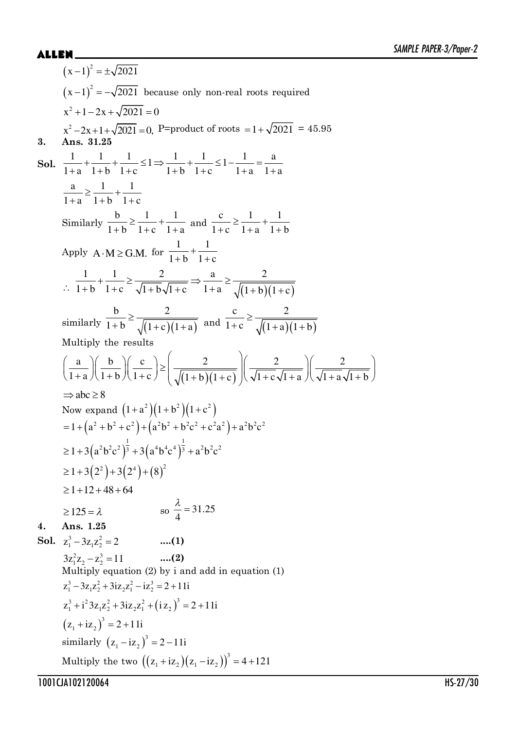$$
(x-1)^2 = \pm\sqrt{2021}
$$
  
\n
$$
(x-1)^2 = -\sqrt{2021}
$$
 because only non-real roots required  
\n
$$
x^2 + 1 - 2x + \sqrt{2021} = 0
$$
  
\n
$$
x^2 - 2x + 1 + \sqrt{2021} = 0
$$
  
\n3. **Ans.** 31.25  
\n**So.** 
$$
\frac{1}{1+a} + \frac{1}{1+b} + \frac{1}{1+c} \le 1 \Rightarrow \frac{1}{1+b} + \frac{1}{1+c} \le 1 - \frac{1}{1+a} = \frac{a}{1+a}
$$
  
\n
$$
\frac{a}{1+a} \ge \frac{1}{1+b} + \frac{1}{1+c}
$$
  
\nSimilarly 
$$
\frac{b}{1+b} \ge \frac{1}{1+c} + \frac{1}{1+a}
$$
 and 
$$
\frac{c}{1+c} \ge \frac{1}{1+a} + \frac{1}{1+b}
$$
  
\nApply A.M  $\ge$  G.M. for 
$$
\frac{1}{1+b} + \frac{1}{1+c}
$$
  
\n
$$
\therefore \frac{1}{1+b} + \frac{1}{1+c} \ge \frac{2}{\sqrt{1+b}\sqrt{1+c}} \Rightarrow \frac{a}{1+a} \ge \frac{2}{\sqrt{(1+b)(1+c)}}
$$
  
\nsimilarly the results  
\n
$$
\left(\frac{a}{1+a}\right)\left(\frac{b}{1+b}\right)\left(\frac{c}{1+c}\right) \ge \left(\frac{2}{\sqrt{(1+b)(1+c)}}\right)\left(\frac{2}{\sqrt{1+c}\sqrt{1+a}}\right)\left(\frac{2}{\sqrt{1+a}\sqrt{1+b}}\right)
$$
  
\nMultiply the results  
\n
$$
\left(\frac{a}{1+a}\right)\left(\frac{b}{1+b}\right)\left(\frac{c}{1+c}\right) \ge \left(\frac{2}{\sqrt{(1+b)(1+c)}}\right)\left(\frac{2}{\sqrt{1+c}\sqrt{1+a}}\right)\left(\frac{2}{\sqrt{1+a}\sqrt{1+b}}\right)
$$
  
\n
$$
\Rightarrow abc \ge 8
$$
  
\nNow expand  $(1+a^2)(1+b^2)(1+c^2)$   
\n
$$
= 1+(a^2+b^2+c^2)+(a^2b^2+c^2a^2)+a^2b^2c^
$$

Multiply the two  $((z_1 + iz_2)(z_1 - iz_2))^3 = 4 + 121$ 

1001CJA102120064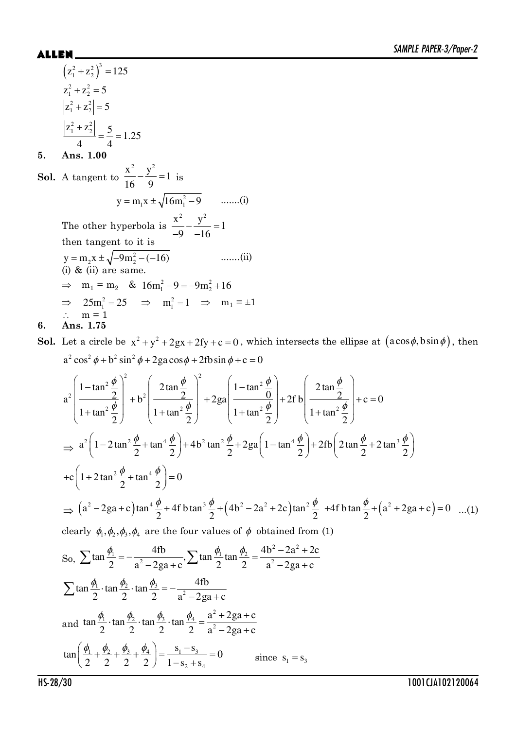## **ALLEN**

$$
(z_1^2 + z_2^2)^3 = 125
$$
  
\n
$$
z_1^2 + z_2^2 = 5
$$
  
\n
$$
|z_1^2 + z_2^2| = 5
$$
  
\n
$$
|z_1^2 + z_2^2| = \frac{5}{4} = 1.25
$$

### Ans. 1.00 5.

**Sol.** A tangent to  $\frac{x^2}{16} - \frac{y^2}{9} = 1$  is  $y = m_1 x \pm \sqrt{16m_1^2 - 9}$  .......(i) The other hyperbola is  $\frac{x^2}{-9} - \frac{y^2}{-16} = 1$ then tangent to it is y = m<sub>2</sub>x ±  $\sqrt{-9m_2^2 - (-16)}$ <br>(i) & (ii) are same.  $......(ii)$  $\implies$  m<sub>1</sub> = m<sub>2</sub> & 16m<sub>1</sub><sup>2</sup> - 9 = -9m<sub>2</sub><sup>2</sup> + 16  $\Rightarrow 25m_1^2 = 25$   $\Rightarrow m_1^2 = 1$   $\Rightarrow m_1 = \pm 1$ <br>  $\therefore m = 1$ Ans. 1.75 6.

**Sol.** Let a circle be  $x^2 + y^2 + 2gx + 2fy + c = 0$ , which intersects the ellipse at  $(a\cos\phi, b\sin\phi)$ , then  $a^2 \cos^2 \phi + b^2 \sin^2 \phi + 2ga \cos \phi + 2fb \sin \phi + c = 0$ 

$$
a^{2}\left(\frac{1-\tan^{2}\frac{\phi}{2}}{1+\tan^{2}\frac{\phi}{2}}\right)^{2} + b^{2}\left(\frac{2\tan\frac{\phi}{2}}{1+\tan^{2}\frac{\phi}{2}}\right)^{2} + 2ga\left(\frac{1-\tan^{2}\frac{\phi}{2}}{1+\tan^{2}\frac{\phi}{2}}\right) + 2fb\left(\frac{2\tan\frac{\phi}{2}}{1+\tan^{2}\frac{\phi}{2}}\right) + c = 0
$$
  
\n
$$
\Rightarrow a^{2}\left(1-2\tan^{2}\frac{\phi}{2}+\tan^{4}\frac{\phi}{2}\right) + 4b^{2}\tan^{2}\frac{\phi}{2} + 2ga\left(1-\tan^{4}\frac{\phi}{2}\right) + 2fb\left(2\tan\frac{\phi}{2}+2\tan^{3}\frac{\phi}{2}\right)
$$
  
\n
$$
+c\left(1+2\tan^{2}\frac{\phi}{2}+\tan^{4}\frac{\phi}{2}\right) = 0
$$
  
\n
$$
\Rightarrow (a^{2}-2ga+c)\tan^{4}\frac{\phi}{2} + 4fb\tan^{3}\frac{\phi}{2} + (4b^{2}-2a^{2}+2c)\tan^{2}\frac{\phi}{2} + 4fb\tan\frac{\phi}{2} + (a^{2}+2ga+c) = 0 \quad ...(1)
$$
  
\nclearly  $\phi_{1}, \phi_{2}, \phi_{3}, \phi_{4}$  are the four values of  $\phi$  obtained from (1)  
\nSo,  $\sum \tan\frac{\phi_{1}}{2} = -\frac{4fb}{a^{2}-2ga+c}, \sum \tan\frac{\phi_{1}}{2} \tan\frac{\phi_{2}}{2} = \frac{4b^{2}-2a^{2}+2c}{a^{2}-2ga+c}$   
\n
$$
\sum \tan\frac{\phi_{1}}{2} \cdot \tan\frac{\phi_{2}}{2} \cdot \tan\frac{\phi_{3}}{2} = -\frac{4fb}{a^{2}-2ga+c}
$$
  
\nand  $\tan\frac{\phi_{1}}{2} \cdot \tan\frac{\phi_{2}}{2} \cdot \tan\frac{\phi_{3}}{2} \cdot \tan\frac{\phi_{4}}{2} = \frac{a^{2}+2ga+c}{a^{2}-2ga+c}$   
\n
$$
\tan\left(\frac{\phi_{1}}{2} + \frac{\phi_{2}}{2} + \frac{\phi_{3}}{2} + \frac{\
$$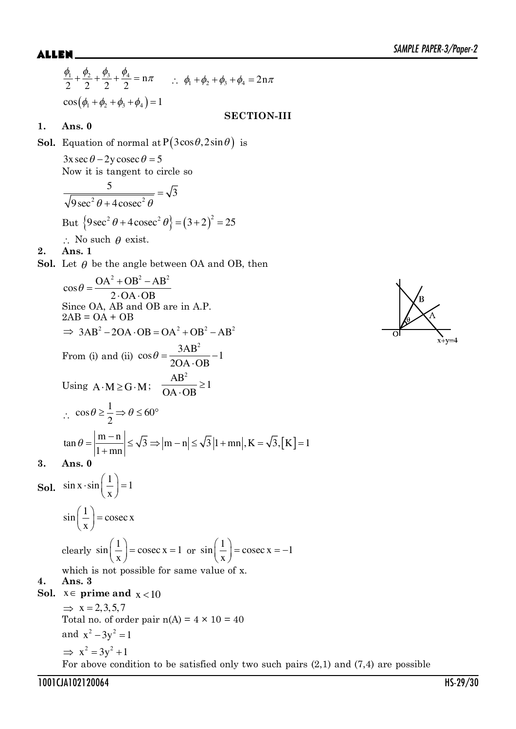$$
\frac{\phi_1}{2} + \frac{\phi_2}{2} + \frac{\phi_3}{2} + \frac{\phi_4}{2} = n\pi \qquad \therefore \ \phi_1 + \phi_2 + \phi_3 + \phi_4 = 2n\pi
$$
  
\n
$$
\cos((\phi_1 + \phi_2 + \phi_3 + \phi_4)) = 1
$$
  
\n**SECTION-III**

## **1. Ans. 0**

**Sol.** Equation of normal at  $P(3\cos\theta, 2\sin\theta)$  is  $3x \sec \theta - 2y \csc \theta = 5$ Now it is tangent to circle so  $^{2}$  Q +  $4$  coses<sup>2</sup>  $\frac{5}{\sqrt{3}} = \sqrt{3}$  $9\sec^2\theta + 4\csc$  $=$  $\theta$  + 4 cosec<sup>2</sup>  $\theta$ But  ${9\sec^2 \theta + 4\csc^2 \theta} = (3+2)^2 = 25$  $\therefore$  No such  $\theta$  exist. **2. Ans. 1 Sol.** Let  $\theta$  be the angle between OA and OB, then  $\cos\theta = \frac{OA^2 + OB^2 - AB^2}{2\cos\theta}$  $2 \cdot OA \cdot OB$  $\theta = \frac{OA^2 + OB^2 - A}{2}$  $-OA - O$ Since OA, AB and OB are in A.P.  $2AB = OA + OB$  $\Rightarrow$  3AB<sup>2</sup> - 2OA · OB = OA<sup>2</sup> + OB<sup>2</sup> - AB<sup>2</sup> From (i) and (ii)  $\cos \theta = \frac{3AB^2}{2BC+BC} - 1$  $2OA \cdot OB$  $\theta = \frac{JAD}{1.2 \times 10^{-10}}$ . Using  $A \cdot M \ge G \cdot M$ ;  $\frac{AB^2}{OA \cdot OP} \ge 1$  $OA \cdot OB$  $\geq$ . ?  $\cos \theta \ge \frac{1}{2} \Rightarrow \theta \le 60$ 2  $\theta \geq \frac{1}{2}$   $\Rightarrow \theta \leq 60^{\circ}$  $\tan \theta = \left| \frac{m-n}{1+mn} \right| \le \sqrt{3} \Rightarrow |m-n| \le \sqrt{3} |1+mn|, K = \sqrt{3}, [K] = 1$  $=\left|\frac{m-n}{m}\right|\leq \sqrt{3} \Rightarrow |m-n|\leq \sqrt{3}|1+mn|, K = \infty$  $\theta = \frac{m}{1 + m}$ **3. Ans. 0 Sol.**  $\sin x \cdot \sin \left( \frac{1}{2} \right) = 1$ x  $\cdot \sin\left(\frac{1}{x}\right) = 1$  $\sin\left(\frac{1}{2}\right) = \csc x$ x  $\left(\frac{1}{x}\right)$  = clearly  $\sin\left(\frac{1}{2}\right) = \csc x = 1$ x  $\left(\frac{1}{x}\right)$  = cosec x = 1 or  $\sin\left(\frac{1}{x}\right)$  = cosec x = -1 x  $\left(\frac{1}{x}\right)$  = cosec x = which is not possible for same value of x. **4. Ans. 3 Sol.**  $x \in \text{prime and } x < 10$  $\Rightarrow$  x = 2,3,5,7 Total no. of order pair  $n(A) = 4 \times 10 = 40$ and  $x^2 - 3y^2 = 1$  $\implies$   $x^2 = 3y^2 + 1$ For above condition to be satisfied only two such pairs  $(2,1)$  and  $(7,4)$  are possible